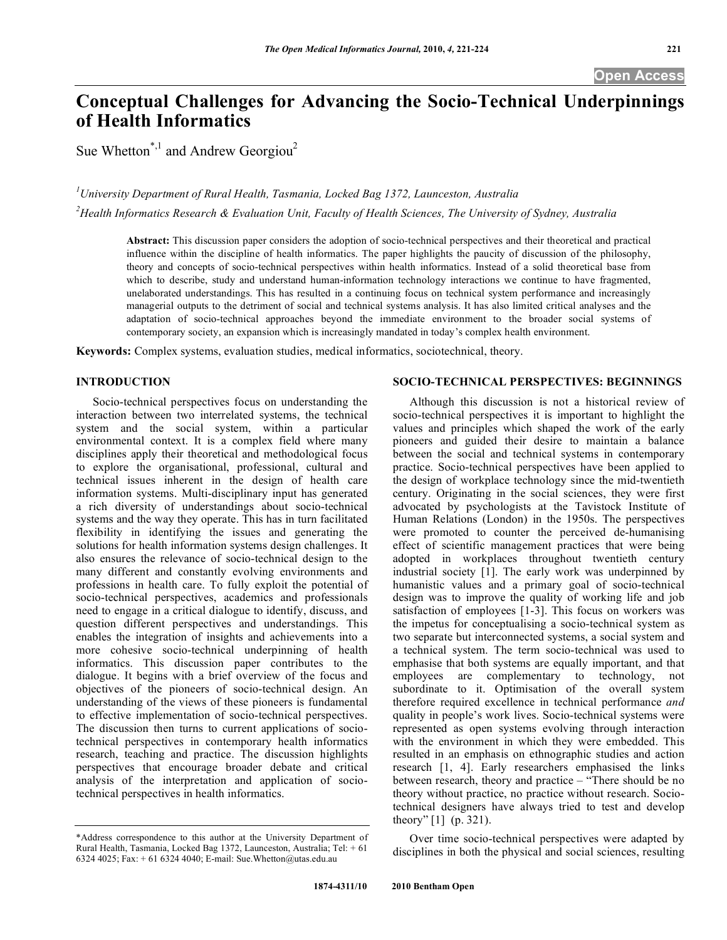# **Conceptual Challenges for Advancing the Socio-Technical Underpinnings of Health Informatics**

Sue Whetton<sup>\*,1</sup> and Andrew Georgiou<sup>2</sup>

*1 University Department of Rural Health, Tasmania, Locked Bag 1372, Launceston, Australia 2 Health Informatics Research & Evaluation Unit, Faculty of Health Sciences, The University of Sydney, Australia* 

**Abstract:** This discussion paper considers the adoption of socio-technical perspectives and their theoretical and practical influence within the discipline of health informatics. The paper highlights the paucity of discussion of the philosophy, theory and concepts of socio-technical perspectives within health informatics. Instead of a solid theoretical base from which to describe, study and understand human-information technology interactions we continue to have fragmented, unelaborated understandings. This has resulted in a continuing focus on technical system performance and increasingly managerial outputs to the detriment of social and technical systems analysis. It has also limited critical analyses and the adaptation of socio-technical approaches beyond the immediate environment to the broader social systems of contemporary society, an expansion which is increasingly mandated in today's complex health environment.

**Keywords:** Complex systems, evaluation studies, medical informatics, sociotechnical, theory.

#### **INTRODUCTION**

 Socio-technical perspectives focus on understanding the interaction between two interrelated systems, the technical system and the social system, within a particular environmental context. It is a complex field where many disciplines apply their theoretical and methodological focus to explore the organisational, professional, cultural and technical issues inherent in the design of health care information systems. Multi-disciplinary input has generated a rich diversity of understandings about socio-technical systems and the way they operate. This has in turn facilitated flexibility in identifying the issues and generating the solutions for health information systems design challenges. It also ensures the relevance of socio-technical design to the many different and constantly evolving environments and professions in health care. To fully exploit the potential of socio-technical perspectives, academics and professionals need to engage in a critical dialogue to identify, discuss, and question different perspectives and understandings. This enables the integration of insights and achievements into a more cohesive socio-technical underpinning of health informatics. This discussion paper contributes to the dialogue. It begins with a brief overview of the focus and objectives of the pioneers of socio-technical design. An understanding of the views of these pioneers is fundamental to effective implementation of socio-technical perspectives. The discussion then turns to current applications of sociotechnical perspectives in contemporary health informatics research, teaching and practice. The discussion highlights perspectives that encourage broader debate and critical analysis of the interpretation and application of sociotechnical perspectives in health informatics.

### **SOCIO-TECHNICAL PERSPECTIVES: BEGINNINGS**

 Although this discussion is not a historical review of socio-technical perspectives it is important to highlight the values and principles which shaped the work of the early pioneers and guided their desire to maintain a balance between the social and technical systems in contemporary practice. Socio-technical perspectives have been applied to the design of workplace technology since the mid-twentieth century. Originating in the social sciences, they were first advocated by psychologists at the Tavistock Institute of Human Relations (London) in the 1950s. The perspectives were promoted to counter the perceived de-humanising effect of scientific management practices that were being adopted in workplaces throughout twentieth century industrial society [1]. The early work was underpinned by humanistic values and a primary goal of socio-technical design was to improve the quality of working life and job satisfaction of employees [1-3]. This focus on workers was the impetus for conceptualising a socio-technical system as two separate but interconnected systems, a social system and a technical system. The term socio-technical was used to emphasise that both systems are equally important, and that employees are complementary to technology, not subordinate to it. Optimisation of the overall system therefore required excellence in technical performance *and* quality in people's work lives. Socio-technical systems were represented as open systems evolving through interaction with the environment in which they were embedded. This resulted in an emphasis on ethnographic studies and action research [1, 4]. Early researchers emphasised the links between research, theory and practice – "There should be no theory without practice, no practice without research. Sociotechnical designers have always tried to test and develop theory" [1] (p. 321).

 Over time socio-technical perspectives were adapted by disciplines in both the physical and social sciences, resulting

<sup>\*</sup>Address correspondence to this author at the University Department of Rural Health, Tasmania, Locked Bag 1372, Launceston, Australia; Tel: + 61 6324 4025; Fax: + 61 6324 4040; E-mail: Sue.Whetton@utas.edu.au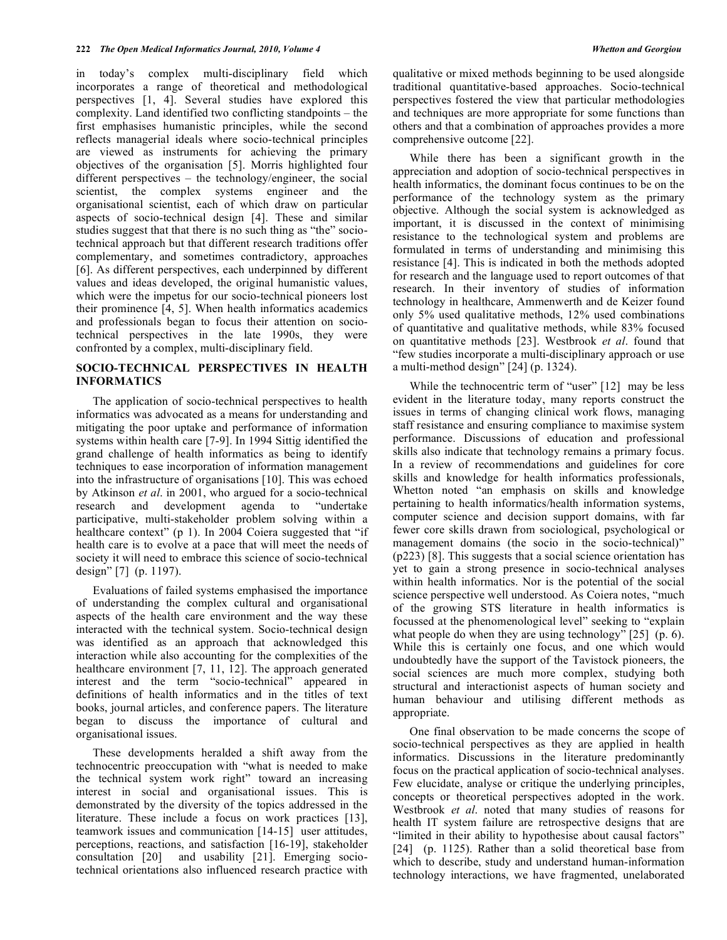in today's complex multi-disciplinary field which incorporates a range of theoretical and methodological perspectives [1, 4]. Several studies have explored this complexity. Land identified two conflicting standpoints – the first emphasises humanistic principles, while the second reflects managerial ideals where socio-technical principles are viewed as instruments for achieving the primary objectives of the organisation [5]. Morris highlighted four different perspectives – the technology/engineer, the social scientist, the complex systems engineer and the organisational scientist, each of which draw on particular aspects of socio-technical design [4]. These and similar studies suggest that that there is no such thing as "the" sociotechnical approach but that different research traditions offer complementary, and sometimes contradictory, approaches [6]. As different perspectives, each underpinned by different values and ideas developed, the original humanistic values, which were the impetus for our socio-technical pioneers lost their prominence [4, 5]. When health informatics academics and professionals began to focus their attention on sociotechnical perspectives in the late 1990s, they were confronted by a complex, multi-disciplinary field.

## **SOCIO-TECHNICAL PERSPECTIVES IN HEALTH INFORMATICS**

 The application of socio-technical perspectives to health informatics was advocated as a means for understanding and mitigating the poor uptake and performance of information systems within health care [7-9]. In 1994 Sittig identified the grand challenge of health informatics as being to identify techniques to ease incorporation of information management into the infrastructure of organisations [10]. This was echoed by Atkinson *et al*. in 2001, who argued for a socio-technical research and development agenda to "undertake participative, multi-stakeholder problem solving within a healthcare context" (p 1). In 2004 Coiera suggested that "if health care is to evolve at a pace that will meet the needs of society it will need to embrace this science of socio-technical design" [7] (p. 1197).

 Evaluations of failed systems emphasised the importance of understanding the complex cultural and organisational aspects of the health care environment and the way these interacted with the technical system. Socio-technical design was identified as an approach that acknowledged this interaction while also accounting for the complexities of the healthcare environment [7, 11, 12]. The approach generated interest and the term "socio-technical" appeared in definitions of health informatics and in the titles of text books, journal articles, and conference papers. The literature began to discuss the importance of cultural and organisational issues.

 These developments heralded a shift away from the technocentric preoccupation with "what is needed to make the technical system work right" toward an increasing interest in social and organisational issues. This is demonstrated by the diversity of the topics addressed in the literature. These include a focus on work practices [13], teamwork issues and communication [14-15] user attitudes, perceptions, reactions, and satisfaction [16-19], stakeholder consultation [20] and usability [21]. Emerging sociotechnical orientations also influenced research practice with

qualitative or mixed methods beginning to be used alongside traditional quantitative-based approaches. Socio-technical perspectives fostered the view that particular methodologies and techniques are more appropriate for some functions than others and that a combination of approaches provides a more comprehensive outcome [22].

 While there has been a significant growth in the appreciation and adoption of socio-technical perspectives in health informatics, the dominant focus continues to be on the performance of the technology system as the primary objective. Although the social system is acknowledged as important, it is discussed in the context of minimising resistance to the technological system and problems are formulated in terms of understanding and minimising this resistance [4]. This is indicated in both the methods adopted for research and the language used to report outcomes of that research. In their inventory of studies of information technology in healthcare, Ammenwerth and de Keizer found only 5% used qualitative methods, 12% used combinations of quantitative and qualitative methods, while 83% focused on quantitative methods [23]. Westbrook *et al*. found that "few studies incorporate a multi-disciplinary approach or use a multi-method design" [24] (p. 1324).

While the technocentric term of "user" [12] may be less evident in the literature today, many reports construct the issues in terms of changing clinical work flows, managing staff resistance and ensuring compliance to maximise system performance. Discussions of education and professional skills also indicate that technology remains a primary focus. In a review of recommendations and guidelines for core skills and knowledge for health informatics professionals, Whetton noted "an emphasis on skills and knowledge pertaining to health informatics/health information systems, computer science and decision support domains, with far fewer core skills drawn from sociological, psychological or management domains (the socio in the socio-technical)" (p223) [8]. This suggests that a social science orientation has yet to gain a strong presence in socio-technical analyses within health informatics. Nor is the potential of the social science perspective well understood. As Coiera notes, "much of the growing STS literature in health informatics is focussed at the phenomenological level" seeking to "explain what people do when they are using technology" [25] (p. 6). While this is certainly one focus, and one which would undoubtedly have the support of the Tavistock pioneers, the social sciences are much more complex, studying both structural and interactionist aspects of human society and human behaviour and utilising different methods as appropriate.

 One final observation to be made concerns the scope of socio-technical perspectives as they are applied in health informatics. Discussions in the literature predominantly focus on the practical application of socio-technical analyses. Few elucidate, analyse or critique the underlying principles, concepts or theoretical perspectives adopted in the work. Westbrook *et al*. noted that many studies of reasons for health IT system failure are retrospective designs that are "limited in their ability to hypothesise about causal factors" [24] (p. 1125). Rather than a solid theoretical base from which to describe, study and understand human-information technology interactions, we have fragmented, unelaborated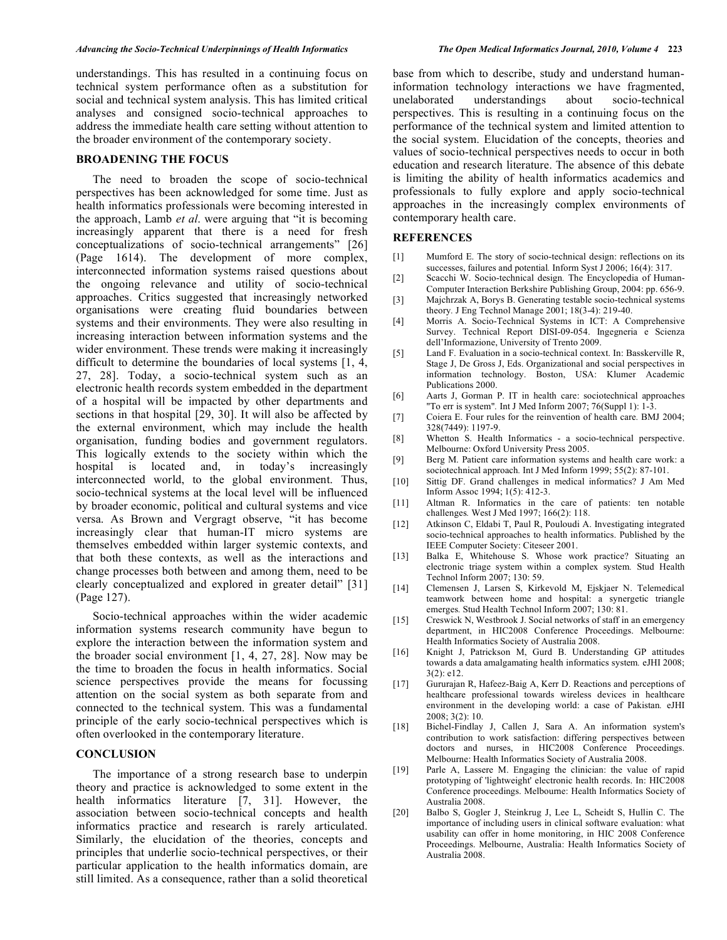understandings. This has resulted in a continuing focus on technical system performance often as a substitution for social and technical system analysis. This has limited critical analyses and consigned socio-technical approaches to address the immediate health care setting without attention to the broader environment of the contemporary society.

#### **BROADENING THE FOCUS**

 The need to broaden the scope of socio-technical perspectives has been acknowledged for some time. Just as health informatics professionals were becoming interested in the approach, Lamb *et al*. were arguing that "it is becoming increasingly apparent that there is a need for fresh conceptualizations of socio-technical arrangements" [26] (Page 1614). The development of more complex, interconnected information systems raised questions about the ongoing relevance and utility of socio-technical approaches. Critics suggested that increasingly networked organisations were creating fluid boundaries between systems and their environments. They were also resulting in increasing interaction between information systems and the wider environment. These trends were making it increasingly difficult to determine the boundaries of local systems [1, 4, 27, 28]. Today, a socio-technical system such as an electronic health records system embedded in the department of a hospital will be impacted by other departments and sections in that hospital [29, 30]. It will also be affected by the external environment, which may include the health organisation, funding bodies and government regulators. This logically extends to the society within which the hospital is located and, in today's increasingly interconnected world, to the global environment. Thus, socio-technical systems at the local level will be influenced by broader economic, political and cultural systems and vice versa. As Brown and Vergragt observe, "it has become increasingly clear that human-IT micro systems are themselves embedded within larger systemic contexts, and that both these contexts, as well as the interactions and change processes both between and among them, need to be clearly conceptualized and explored in greater detail" [31] (Page 127).

 Socio-technical approaches within the wider academic information systems research community have begun to explore the interaction between the information system and the broader social environment [1, 4, 27, 28]. Now may be the time to broaden the focus in health informatics. Social science perspectives provide the means for focussing attention on the social system as both separate from and connected to the technical system. This was a fundamental principle of the early socio-technical perspectives which is often overlooked in the contemporary literature.

#### **CONCLUSION**

 The importance of a strong research base to underpin theory and practice is acknowledged to some extent in the health informatics literature [7, 31]. However, the association between socio-technical concepts and health informatics practice and research is rarely articulated. Similarly, the elucidation of the theories, concepts and principles that underlie socio-technical perspectives, or their particular application to the health informatics domain, are still limited. As a consequence, rather than a solid theoretical

base from which to describe, study and understand humaninformation technology interactions we have fragmented, unelaborated understandings about socio-technical perspectives. This is resulting in a continuing focus on the performance of the technical system and limited attention to the social system. Elucidation of the concepts, theories and values of socio-technical perspectives needs to occur in both education and research literature. The absence of this debate is limiting the ability of health informatics academics and professionals to fully explore and apply socio-technical approaches in the increasingly complex environments of contemporary health care.

#### **REFERENCES**

- [1] Mumford E. The story of socio-technical design: reflections on its successes, failures and potential*.* Inform Syst J 2006; 16(4): 317.
- [2] Scacchi W. Socio-technical design*.* The Encyclopedia of Human-Computer Interaction Berkshire Publishing Group, 2004: pp. 656-9.
- [3] Majchrzak A, Borys B. Generating testable socio-technical systems theory*.* J Eng Technol Manage 2001; 18(3-4): 219-40.
- [4] Morris A. Socio-Technical Systems in ICT: A Comprehensive Survey. Technical Report DISI-09-054. Ingegneria e Scienza dell'Informazione, University of Trento 2009.
- [5] Land F. Evaluation in a socio-technical context. In: Basskerville R, Stage J, De Gross J, Eds. Organizational and social perspectives in information technology. Boston, USA: Klumer Academic Publications 2000.
- [6] Aarts J, Gorman P. IT in health care: sociotechnical approaches "To err is system"*.* Int J Med Inform 2007; 76(Suppl 1): 1-3.
- [7] Coiera E. Four rules for the reinvention of health care*.* BMJ 2004; 328(7449): 1197-9.
- [8] Whetton S. Health Informatics a socio-technical perspective. Melbourne: Oxford University Press 2005.
- [9] Berg M. Patient care information systems and health care work: a sociotechnical approach*.* Int J Med Inform 1999; 55(2): 87-101.
- [10] Sittig DF. Grand challenges in medical informatics? J Am Med Inform Assoc 1994; 1(5): 412-3.
- [11] Altman R. Informatics in the care of patients: ten notable challenges*.* West J Med 1997; 166(2): 118.
- [12] Atkinson C, Eldabi T, Paul R, Pouloudi A. Investigating integrated socio-technical approaches to health informatics. Published by the IEEE Computer Society: Citeseer 2001.
- [13] Balka E, Whitehouse S. Whose work practice? Situating an electronic triage system within a complex system*.* Stud Health Technol Inform 2007; 130: 59.
- [14] Clemensen J, Larsen S, Kirkevold M, Ejskjaer N. Telemedical teamwork between home and hospital: a synergetic triangle emerges*.* Stud Health Technol Inform 2007; 130: 81.
- [15] Creswick N, Westbrook J. Social networks of staff in an emergency department, in HIC2008 Conference Proceedings. Melbourne: Health Informatics Society of Australia 2008.
- [16] Knight J, Patrickson M, Gurd B. Understanding GP attitudes towards a data amalgamating health informatics system*.* eJHI 2008; 3(2): e12.
- [17] Gururajan R, Hafeez-Baig A, Kerr D. Reactions and perceptions of healthcare professional towards wireless devices in healthcare environment in the developing world: a case of Pakistan*.* eJHI 2008; 3(2): 10.
- [18] Bichel-Findlay J, Callen J, Sara A. An information system's contribution to work satisfaction: differing perspectives between doctors and nurses, in HIC2008 Conference Proceedings. Melbourne: Health Informatics Society of Australia 2008.
- [19] Parle A, Lassere M. Engaging the clinician: the value of rapid prototyping of 'lightweight' electronic health records. In: HIC2008 Conference proceedings. Melbourne: Health Informatics Society of Australia 2008.
- [20] Balbo S, Gogler J, Steinkrug J, Lee L, Scheidt S, Hullin C. The importance of including users in clinical software evaluation: what usability can offer in home monitoring, in HIC 2008 Conference Proceedings. Melbourne, Australia: Health Informatics Society of Australia 2008.